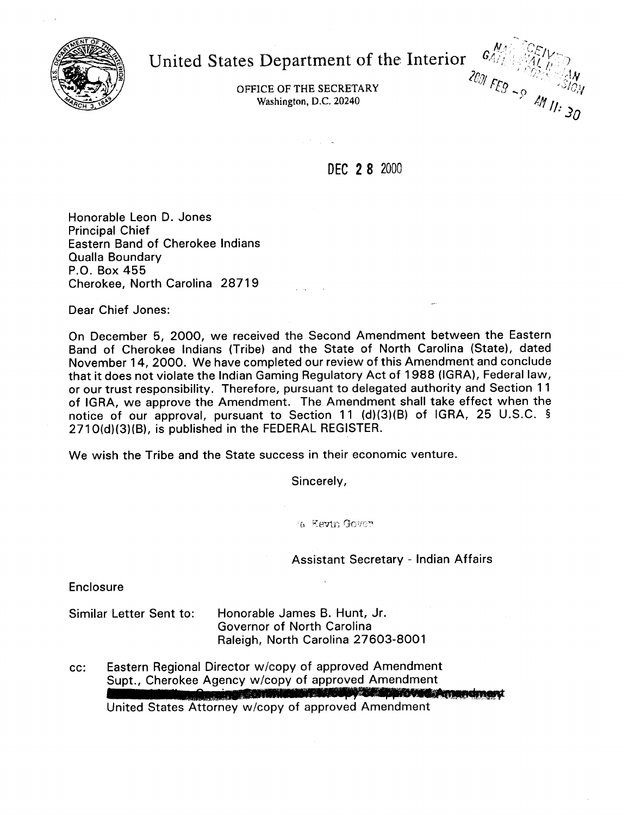

# United States Department of the Interior

**Washington, D.C. 20240** '9



DEC **2 8** 2000

Honorable Leon D. Jones Principal Chief Eastern Band of Cherokee lndians Qualla Boundary P.O. Box 455 Cherokee, North Carolina 28719

Dear Chief Jones:

On December 5, 2000, we received the Second Amendment between the Eastern Band of Cherokee lndians (Tribe) and the State of North Carolina (State), dated November 14,2000. We have completed our review of this Amendment and conclude that it does not violate the Indian Gaming Regulatory Act of 1988 (IGRA), Federal law, or our trust responsibility. Therefore, pursuant to delegated authority and Section 11 of IGRA, we approve the Amendment. The Amendment shall take effect when the notice of our approval, pursuant to Section 11 (d)(3)(B) of IGRA, 25 U.S.C. § 271 0(d)(3)(B), is published in the FEDERAL REGISTER.

We wish the Tribe and the State success in their economic venture.

Sincerely,

6 Kevin Gover

Assistant Secretary - Indian Affairs

Enclosure

Similar Letter Sent to: Honorable James B. Hunt, Jr. Governor of North Carolina Raleigh, North Carolina 27603-8001

cc: Eastern Regional Director wlcopy of approved Amendment Supt., Cherokee Agency w/copy of approved Amendment United States Attorney wlcopy of approved Amendment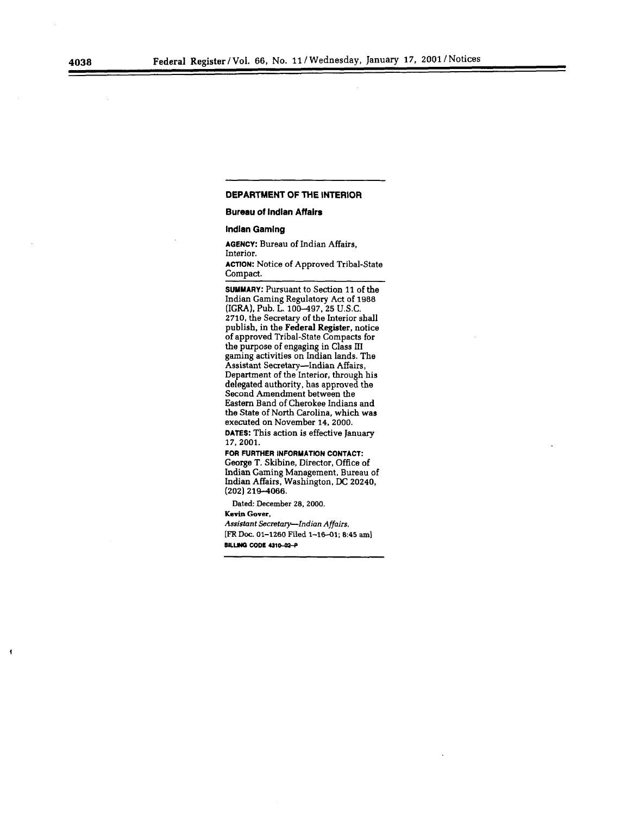#### **DEPARTMENT OF THE INTERIOR**

#### **Bureau of indlan Affairs**

#### **Indian Gaming**

**AGENCY:** Bureau of Indian Affairs, Interior.

**ACTION:** Notice of Approved Tribal-State Compact.

**SUMMARY:** Pursuant to Section **11** of the Indian Gaming Regulatory Act of 1988 **(IGRA),** Pub. L. **100-497, 25** U.S.C. **2710,** the Secretary of the Interior shall publish, in the Federal Register, notice of approved Tribal-State Compacts for the purpose of engaging in Class **111**  gaming activities on Indian lands. The Assistant Secretary-Indian Affairs, Department of the Interior, through his delegated authority, has approved the Second Amendment between the Eastern Band of Cherokee Indians and the State of North Carolina, which was executed on November 14, 2000. **DATES:** This action is effective January **17, 2001.** 

**FOR FURTHER INFORMATION CONTACT:**  George T. Skibine, Director, Office of Indian Gaming Management, Bureau of Indian Affairs, Washington, **DC 20240, (202) 219-4066.** 

Dated: December **28, 2000.** 

Kevin Gover,

*Assistant Secretary-Indian Affairs.*  **[FR Doc. 01-1260 Filed 1-16-01; 8:45 am] BILUNQ CODE 4310-024** 

 $\ddot{\phantom{1}}$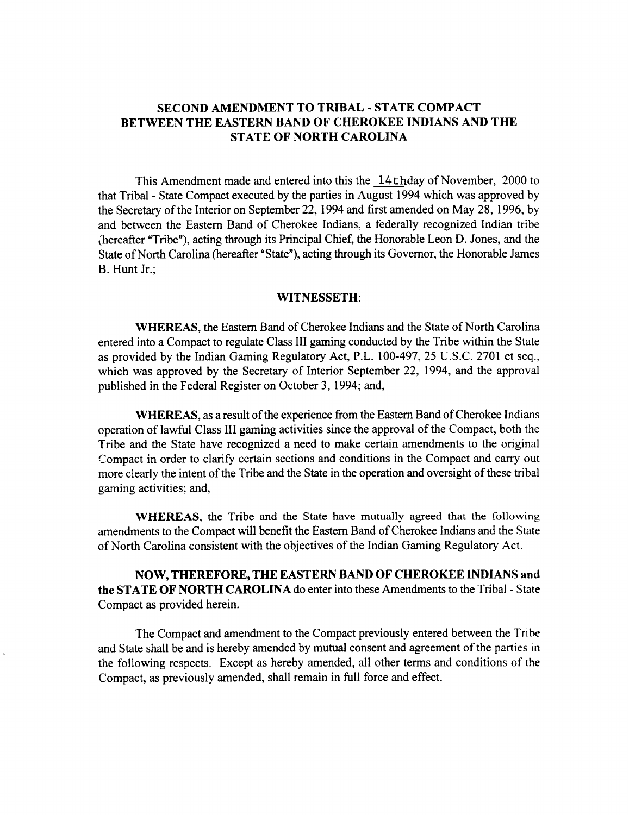# **SECOND AMENDMENT TO TRIBAL** - **STATE COMPACT BETWEEN THE EASTERN BAND OF CHEROKEE INDIANS AND THE STATE OF NORTH CAROLINA**

This Amendment made and entered into this the 14thday of November, 2000 to that Tribal - State Compact executed by the parties in August 1994 which was approved by the Secretary of the Interior on September 22, 1994 and first amended on May 28, 1996, by and between the Eastern Band of Cherokee Indians, a federally recognized Indian tribe (hereafter "Tribe"), acting through its Principal Chief, the Honorable Leon D. Jones, and the State of North Carolina (hereafter "State"), acting through its Governor, the Honorable James B. Hunt Jr.;

## **WITNESSETH:**

**WHEREAS,** the Eastern Band of Cherokee Indians and the State of North Carolina entered into a Compact to regulate Class I11 gaming conducted by the Tribe within the State as provided by the Indian Gaming Regulatory Act, P.L. 100-497,25 U.S.C. 2701 et seq., which was approved by the Secretary of Interior September 22, 1994, and the approval published in the Federal Register on October **3,** 1994; and,

**WHEREAS,** as a result of the experience from the Eastern Band of Cherokee Indians operation of lawful Class I11 gaming activities since the approval of the Compact, both the Tribe and the State have recognized a need to make certain amendments to the original Compact in order to clarify certain sections and conditions in the Compact and carry out more clearly the intent of the Tribe and the State in the operation and oversight of these tribal gaming activities; and,

WHEREAS, the Tribe and the State have **mutually** agreed that the following amendments to the Compact will benefit the Eastern Band of Cherokee Indians and the State of North Carolina consistent with the objectives of the Indian Gaming Regulatory Act.

**NOW, THEREFORE, THE EASTERN BAND OF CHEROKEE INDIANS and the STATE OF NORTH CAROLINA** do enter into these Amendments to the Tribal - State Compact as provided herein.

The Compact and amendment to the Compact previously entered between the Tribe and State shall be and is hereby amended by mutual consent and agreement of the parties in the following respects. Except as hereby amended, all other terms and conditions of the Compact, as previously amended, shall remain in full force and effect.

 $\overline{\mathbf{I}}$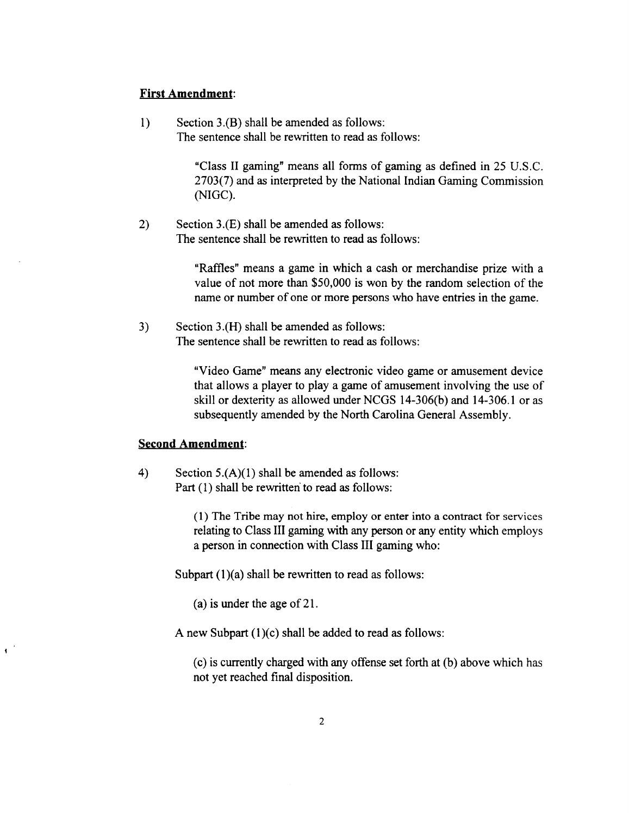### **First** Amendment:

1) Section 3.(B) shall be amended as follows: The sentence shall be rewritten to read as follows:

> "Class I1 gaming" means all forms of gaming **as** defined in 25 U.S.C. 2703(7) and as interpreted by the National Indian Gaming Commission (NIGC).

2) Section 3.(E) shall be amended **as** follows: The sentence shall be rewritten to read as follows:

> "Raffles" means a game in which a cash or merchandise prize with a value of not more than \$50,000 is won by the random selection of the name or number of one or more persons who have entries in the game.

3) Section 3.(H) shall be amended as follows: The sentence shall be rewritten to read as follows:

> "Video Game" means any electronic video game or amusement device that allows a player to play a game of amusement involving the use of skill or dexterity as allowed under NCGS 14-306(b) and 14-306.1 or as subsequently amended by the North Carolina General Assembly.

# Second Amendment:

 $\mathcal{F}^{\mathcal{F}}$ 

**4)** Section 5.(A)(l) shall be amended **as** follows: Part (1) shall be rewritten to read as follows:

> (1) The Tribe may not hire, employ or enter into a contract for services relating to Class I11 gaming with any person or any entity which employs a person in connection with Class I11 gaming who:

Subpart (l)(a) shall be rewritten to read **as** follows:

(a) is under the age of  $21$ .

A new Subpart  $(1)(c)$  shall be added to read as follows:

(c) is currently charged with any offense set forth at (b) above which has not yet reached final disposition.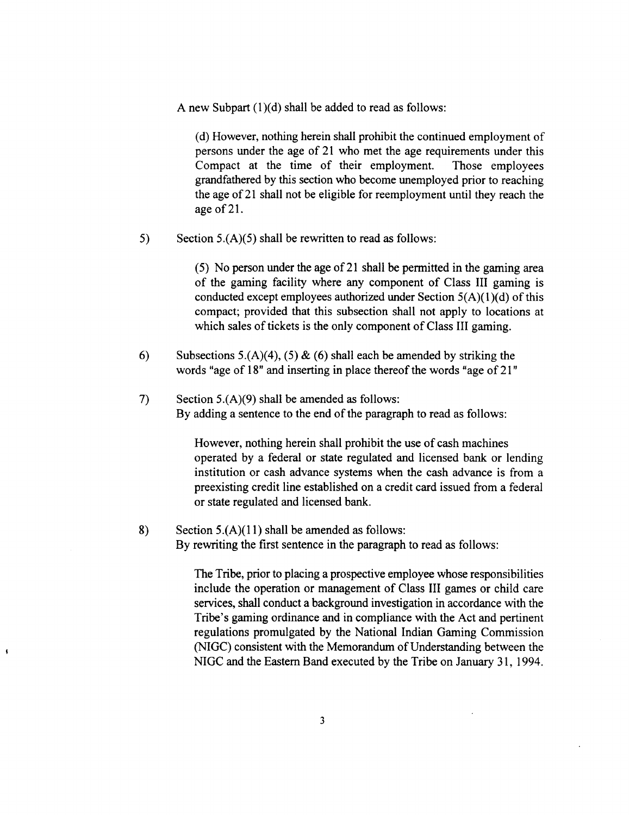A new Subpart  $(1)(d)$  shall be added to read as follows:

(d) However, nothing herein shall prohibit the continued employment of persons under the age of 21 who met the age requirements under this Compact at the time of their employment. Those employees grandfathered by this section who become unemployed prior to reaching the age of 21 shall not be eligible for reemployment until they reach the age of 21.

5) Section 5.(A)(5) shall be rewritten to read as follows:

(5) No person under the age of 21 shall be permitted in the gaming area of the gaming facility where any component of Class I11 gaming is conducted except employees authorized under Section  $5(A)(1)(d)$  of this compact; provided that this subsection shall not apply to locations at which sales of tickets is the only component of Class III gaming.

- 6) Subsections 5.(A)(4), (5) & (6) shall each be amended by striking the words "age of 18" and inserting in place thereof the words "age of 21"
- 7) Section 5.(A)(9) shall be amended as follows: By adding a sentence to the end of the paragraph to read as follows:

However, nothing herein shall prohibit the use of cash machines operated by a federal or state regulated and licensed bank or lending institution or cash advance systems when the cash advance is from a preexisting credit line established on a credit card issued from a federal or state regulated and licensed bank.

**8)** Section 5.(A)(ll) shall be amended as follows: By rewriting the first sentence in the paragraph to read as follows:

> The Tribe, prior to placing a prospective employee whose responsibilities include the operation or management of Class I11 games or child care services, shall conduct a background investigation in accordance with the Tribe's gaming ordinance and in compliance with the Act and pertinent regulations promulgated by the National Indian Gaming Commission (NIGC) consistent with the Memorandum of Understanding between the NIGC and the Eastern Band executed by the Tribe on January 31, 1994.

 $\sqrt{2}$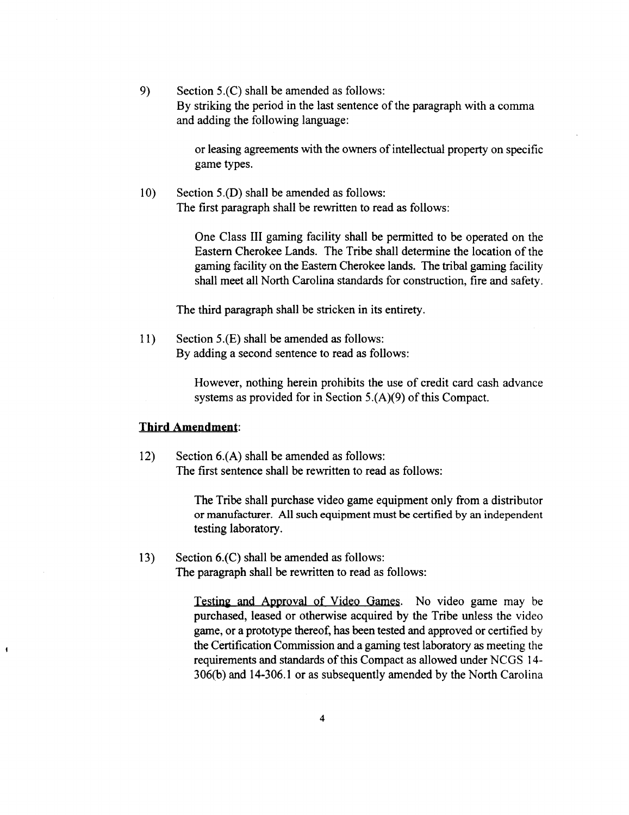9) Section 5.(C) shall be amended as follows: By striking the period in the last sentence of the paragraph with a comma and adding the following language:

> or leasing agreements with the owners of intellectual property on specific game types.

**10)** Section **5.(D)** shall be amended as follows: The first paragraph shall be rewritten to read as follows:

> One Class I11 gaming facility shall be permitted to be operated on the Eastern Cherokee Lands. The Tribe shall determine the location of the gaming facility on the Eastern Cherokee lands. The tribal gaming facility shall meet all North Carolina standards for construction, fire and safety.

The third paragraph shall be stricken in its entirety.

11) Section 5.(E) shall be amended as follows: By adding a second sentence to read as follows:

> However, nothing herein prohibits the use of credit card cash advance systems as provided for in Section 5.(A)(9) of this Compact.

#### Third Amendment:

 $\overline{\mathbf{1}}$ 

12) Section 6.(A) shall be amended as follows: The first sentence shall be rewritten to read as follows:

> The Tribe shall purchase video game equipment only from a distributor **or manufacturer. All such equipment must be certified by an independent**  testing laboratory.

13) Section 6.(C) shall be amended as follows: The paragraph shall be rewritten to read as follows:

> Testing and Approval of Video **Games.** No video game may be purchased, leased or otherwise acquired by the Tribe unless the video game, or a prototype thereof, has been tested and approved or certified by the Certification Commission and a gaming test laboratory as meeting the requirements and standards of this Compact as allowed under NCGS 14- 306(b) and 14-306.1 or as subsequently amended by the North Carolina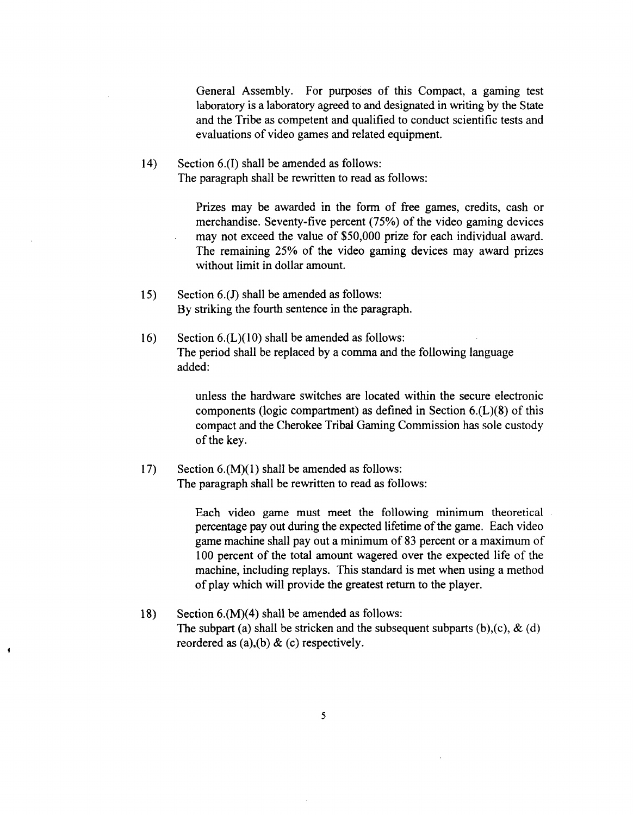General Assembly. For purposes of this Compact, a gaming test laboratory is a laboratory agreed to and designated in writing by the State and the Tribe as competent and qualified to conduct scientific tests and evaluations of video games and related equipment.

14) Section 6.(I) shall be amended as follows: The paragraph shall be rewritten to read as follows:

> Prizes may be awarded in the form of free games, credits, cash or merchandise. Seventy-five percent (75%) of the video gaming devices may not exceed the value of \$50,000 prize for each individual award. The remaining 25% of the video gaming devices may award prizes without limit in dollar amount.

- 15) Section 6.(J) shall be amended as follows: By striking the fourth sentence in the paragraph.
- 16) Section  $6.(L)(10)$  shall be amended as follows: The period shall be replaced by a comma and the following language added:

unless the hardware switches are located within the secure electronic components (logic compartment) as defined in Section 6.(L)(8) of this compact and the Cherokee Tribal Gaming Commission has sole custody of the key.

17) Section 6.(M)(l) shall be amended as follows: The paragraph shall be rewritten to read as follows:

> Each video game must meet the following minimum theoretical percentage pay out during the expected lifetime of the game. Each video game machine shall pay out a minimum of 83 percent or a maximum of 100 percent of the total amount wagered over the expected life of the machine, including replays. This standard is met when using a method of play which will provide the greatest return to the player.

**18)** Section 6.(M)(4) shall be amended as follows: The subpart (a) shall be stricken and the subsequent subparts (b),(c),  $\&$  (d) reordered as  $(a),(b) \& (c)$  respectively.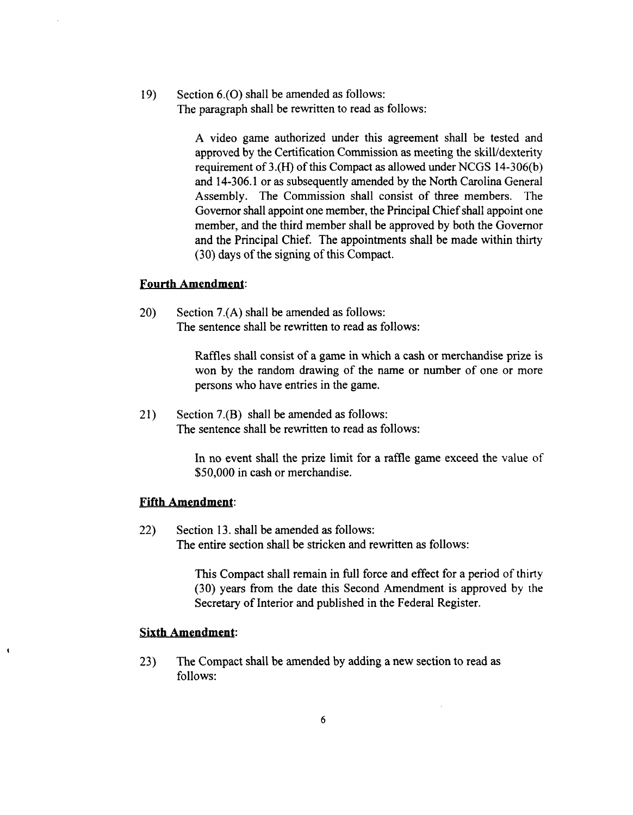19) Section 6.(0) shall be amended as follows: The paragraph shall be rewritten to read as follows:

> **A** video game authorized under this agreement shall be tested and approved by the Certification Commission as meeting the skill/dexterity requirement of 3.(H) of this Compact as allowed under NCGS 14-306(b) and 14-306.1 or **as** subsequently amended by the North Carolina General Assembly. The Commission shall consist of three members. The Governor shall appoint one member, the Principal Chief shall appoint one member, and the third member shall be approved by both the Governor and the Principal Chief. The appointments shall be made within thirty (30) days of the signing of this Compact.

## **Fourth** Amendment:

20) Section 7.(A) shall be amended as follows: The sentence shall be rewritten to read as follows:

> Raffles shall consist of a game in which a cash or merchandise prize is won by the random drawing of the name or number of one or more persons who have entries in the game.

21) Section 7.(B) shall be amended as follows: The sentence shall be rewritten to read as follows:

> In no event shall the prize limit for a raffle game exceed the value of \$50,000 in cash or merchandise.

# **Fifth** Amendment:

22) Section 13. shall be amended as follows: The entire section shall be stricken and rewritten as follows:

> This Compact shall remain in full force and effect for a period of thirty (30) years from the date this Second Amendment is approved by the Secretary of Interior and published in the Federal Register.

# **Sixth** Amendment:

 $\ddot{\phantom{1}}$ 

23) The Compact shall be amended by adding a new section to read **as**  follows: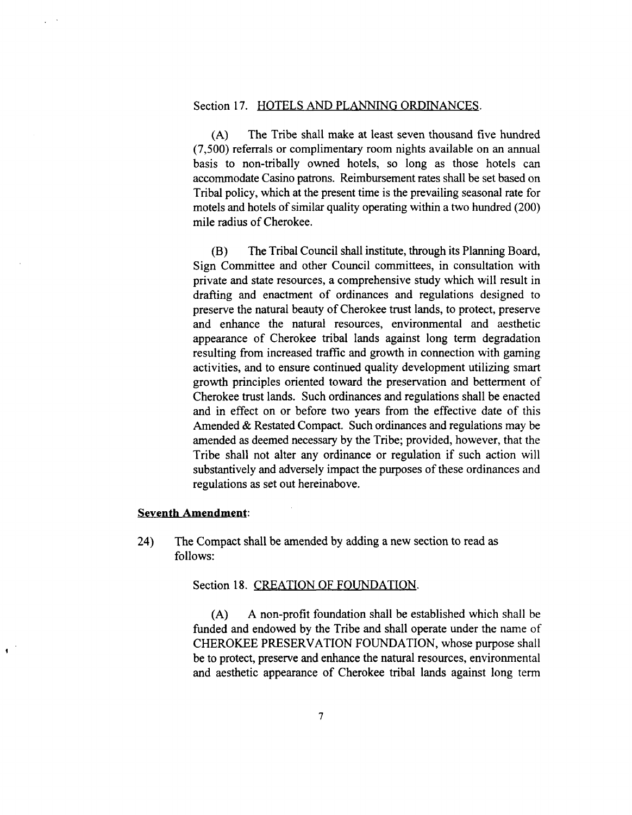#### Section 17. HOTELS AND PLANNING ORDINANCES.

**(A)** The Tribe shall make at least seven thousand five hundred (7,500) referrals or complimentary room nights available on an annual basis to non-tribally owned hotels, so long as those hotels can accommodate Casino patrons. Reimbursement rates shall be set based on Tribal policy, which at the present time is the prevailing seasonal rate for motels and hotels of similar quality operating within a two hundred (200) mile radius of Cherokee.

(B) The Tribal Council shall institute, through its Planning Board, Sign Committee and other Council committees, in consultation with private and state resources, a comprehensive study which will result in drafting and enactment of ordinances and regulations designed to preserve the natural beauty of Cherokee trust lands, to protect, preserve and enhance the natural resources, environmental and aesthetic appearance of Cherokee tribal lands against long term degradation resulting from increased traffic and growth in connection with gaming activities, and to ensure continued quality development utilizing smart growth principles oriented toward the preservation and betterment of Cherokee trust lands. Such ordinances and regulations shall be enacted and in effect on or before two years from the effective date of this Amended & Restated Compact. Such ordinances and regulations may be amended as deemed necessary by the Tribe; provided, however, that the Tribe shall not alter any ordinance or regulation if such action will substantively and adversely impact the purposes of these ordinances and regulations as set out hereinabove.

#### **Seventh Amendment:**

24) The Compact shall be amended by adding a new section to read as follows:

#### Section 18. CREATION OF FOUNDATION.

**(A) A** non-profit foundation shall be established which shall be funded and endowed by the Tribe and shall operate under the name of CHEROKEE PRESERVATION FOUNDATION, whose purpose shall be to protect, preserve and enhance the natural resources, environmental and aesthetic appearance of Cherokee tribal lands against long term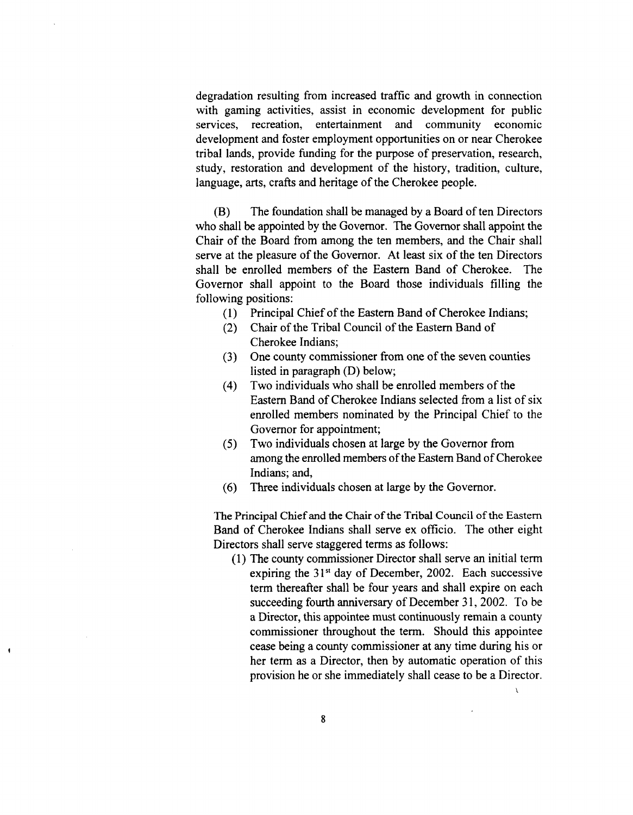degradation resulting from increased traffic and growth in connection with gaming activities, assist in economic development for public services, recreation, entertainment and community economic development and foster employment opportunities on or near Cherokee tribal lands, provide funding for the purpose of preservation, research, study, restoration and development of the history, tradition, culture, language, arts, crafts and heritage of the Cherokee people.

(B) The foundation shall be managed by a Board of ten Directors who shall be appointed by the Governor. The Governor shall appoint the Chair of the Board fiom among the ten members, and the Chair shall serve at the pleasure of the Governor. At least six of the ten Directors shall be enrolled members of the Eastern Band of Cherokee. The Governor shall appoint to the Board those individuals filling the following positions:

- (1) Principal Chief of the Eastern Band of Cherokee Indians;<br>(2) Chair of the Tribal Council of the Eastern Band of
- *(2)* Chair of the Tribal Council of the Eastern Band of Cherokee Indians;
- (3) One county commissioner from one of the seven counties listed in paragraph (D) below;
- **(4)** Two individuals who shall be enrolled members of the Eastern Band of Cherokee Indians selected from a list of six enrolled members nominated by the Principal Chief to the Governor for appointment;
- **(5)** Two individuals chosen at large by the Governor from among the enrolled members of the Eastern Band of Cherokee Indians; and,
- *(6)* Three individuals chosen at large by the Governor.

**The Principal Chief and the Chair of the Tribal Council of the Eastern**  Band of Cherokee Indians shall serve ex officio. The other eight Directors shall serve staggered terms as follows:

(1) The county commissioner Director shall serve an initial term expiring the  $31<sup>st</sup>$  day of December, 2002. Each successive term thereafter shall be four years and shall expire on each succeeding fourth anniversary of December 31, 2002. To be a Director, this appointee must continuously remain a county commissioner throughout the term. Should this appointee cease being a county commissioner at any time during his or her term as a Director, then by automatic operation of this provision he or she immediately shall cease to be a Director.

**i**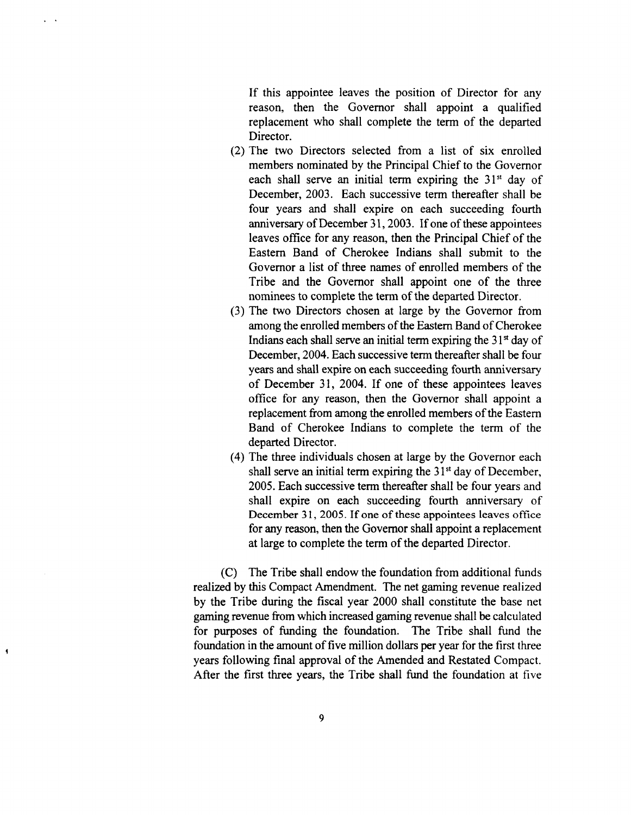If this appointee leaves the position of Director for any reason, then the Governor shall appoint a qualified replacement who shall complete the term of the departed Director.

- (2) The two Directors selected from a list of six enrolled members nominated by the Principal Chief to the Governor each shall serve an initial term expiring the **31"** day of December, **2003.** Each successive term thereafter shall be four years and shall expire on each succeeding fourth anniversary of December **3 1,2003.** If one of these appointees leaves office for any reason, then the Principal Chief of the Eastern Band of Cherokee Indians shall submit to the Governor a list of three names of enrolled members of the Tribe and the Governor shall appoint one of the three nominees to complete the term of the departed Director.
- **(3)** The two Directors chosen at large by the Governor from among the enrolled members of the Eastern Band of Cherokee Indians each shall serve an initial term expiring the **3** 1' day of December, **2004.** Each successive term thereafter shall be four years and shall expire on each succeeding fourth anniversary of December **3** 1, **2004.** If one of these appointees leaves office for any reason, then the Governor shall appoint a replacement from among the enrolled members of the Eastern Band of Cherokee Indians to complete the term of the departed Director.
- **(4)** The three individuals chosen at large by the Governor each shall serve an initial term expiring the **3 1"** day of December, **2005.** Each successive term thereafter shall be four years and shall expire on each succeeding fourth anniversary of **December 3** I, **2005. If one of these appointees leaves office**  for any reason, then the Governor shall appoint a replacement at large to complete the term of the departed Director.

(C) The Tribe shall endow the foundation from additional funds realized by this Compact Amendment. The net gaming revenue realized by the Tribe during the fiscal year **2000** shall constitute the base net gaming revenue fiom which increased gaming revenue shall be calculated for purposes of funding the foundation. The Tribe shall fund the foundation in the amount of five million dollars per year for the first three years following final approval of the Amended and Restated Compact. After the first three years, the Tribe shall fund the foundation at five

 $\overline{\phantom{a}}$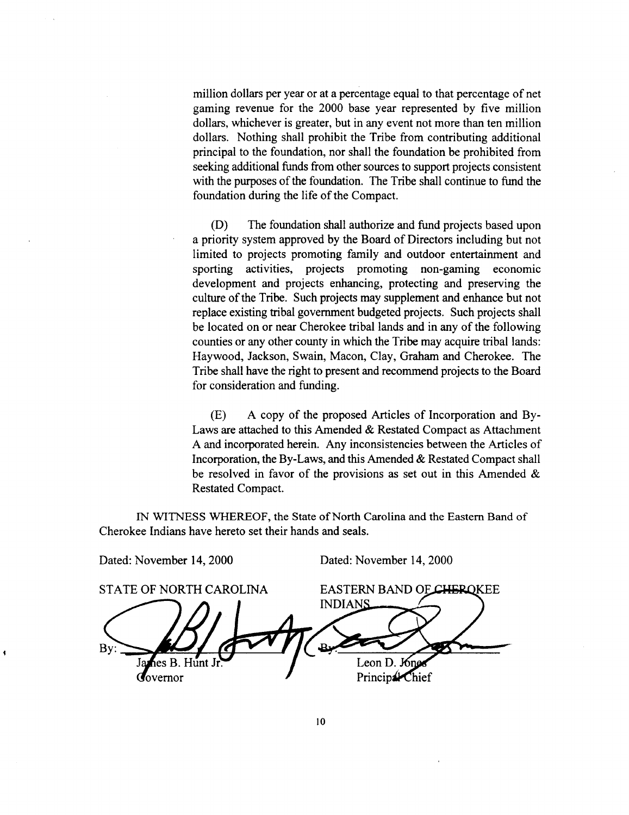million dollars per year or at a percentage equal to that percentage of net gaming revenue for the 2000 base year represented by five million dollars, whichever is greater, but in any event not more than ten million dollars. Nothing shall prohibit the Tribe from contributing additional principal to the foundation, nor shall the foundation be prohibited from seeking additional funds fiom other sources to support projects consistent with the purposes of the foundation. The Tribe shall continue to fund the foundation during the life of the Compact.

(D) The foundation shall authorize and fund projects based upon a priority system approved by the Board of Directors including but not limited to projects promoting family and outdoor entertainment and sporting activities, projects promoting non-gaming economic development and projects enhancing, protecting and preserving the culture of the Tribe. Such projects may supplement and enhance but not replace existing tribal government budgeted projects. Such projects shall be located on or near Cherokee tribal lands and in any of the following counties or any other county in which the Tribe may acquire tribal lands: Haywood, Jackson, Swain, Macon, Clay, Graham and Cherokee. The Tribe shall have the right to present and recommend projects to the Board for consideration and funding.

(E) A copy of the proposed Articles of Incorporation and By-Laws are attached to this Amended & Restated Compact as Attachment A and incorporated herein. Any inconsistencies between the Articles of Incorporation, the By-Laws, and this Amended & Restated Compact shall be resolved in favor of the provisions as set out in this Amended  $\&$ Restated Compact.

IN WITNESS WHEREOF, the State of North Carolina **and** the Eastern Band of Cherokee Indians have hereto set their hands and seals.

Dated: November 14,2000 Dated: November 14,2000 STATE OF NORTH CAROLINA EASTERN BAND OF CHEROKEE **INDIANS** Bv Leon D. Jone Principal Chief Governor

 $10$